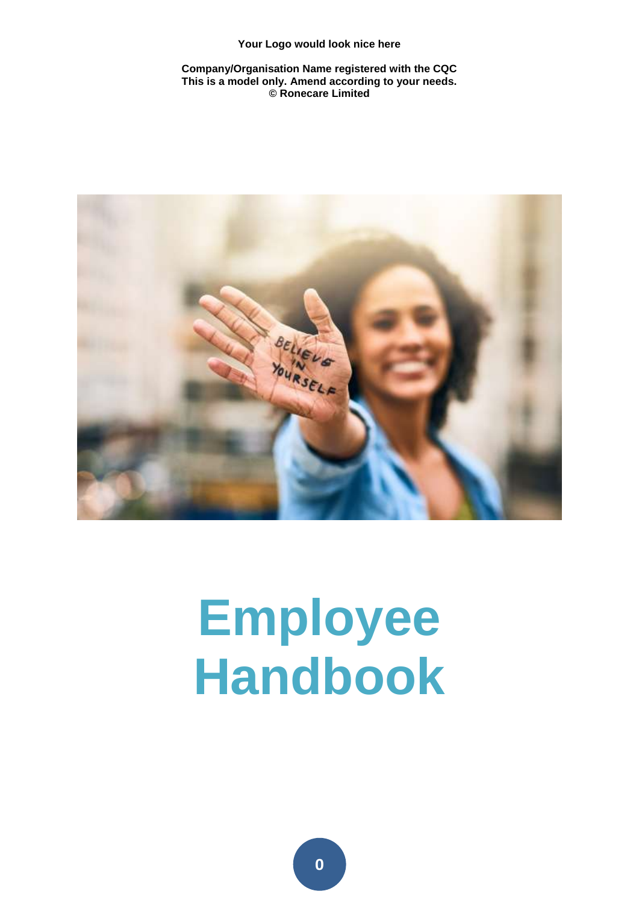**Company/Organisation Name registered with the CQC This is a model only. Amend according to your needs. © Ronecare Limited** 



## **Employee Handbook**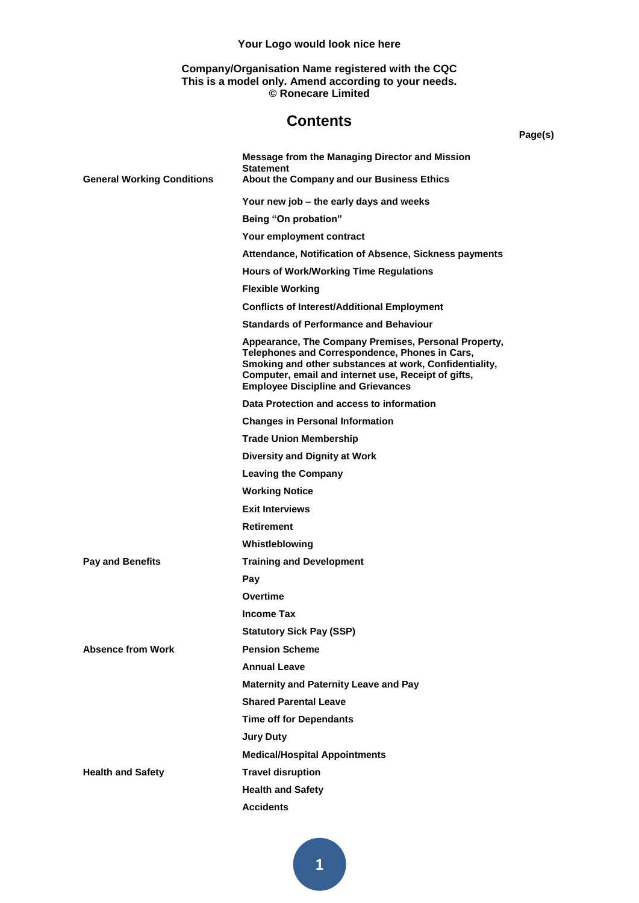#### **Company/Organisation Name registered with the CQC This is a model only. Amend according to your needs. © Ronecare Limited**

#### **Contents**

|  | l |
|--|---|
|--|---|

|                                   | Message from the Managing Director and Mission<br><b>Statement</b><br>About the Company and our Business Ethics                                                                                                                                                      |
|-----------------------------------|----------------------------------------------------------------------------------------------------------------------------------------------------------------------------------------------------------------------------------------------------------------------|
| <b>General Working Conditions</b> |                                                                                                                                                                                                                                                                      |
|                                   | Your new job – the early days and weeks                                                                                                                                                                                                                              |
|                                   | Being "On probation"                                                                                                                                                                                                                                                 |
|                                   | Your employment contract                                                                                                                                                                                                                                             |
|                                   | Attendance, Notification of Absence, Sickness payments                                                                                                                                                                                                               |
|                                   | <b>Hours of Work/Working Time Regulations</b>                                                                                                                                                                                                                        |
|                                   | <b>Flexible Working</b>                                                                                                                                                                                                                                              |
|                                   | <b>Conflicts of Interest/Additional Employment</b>                                                                                                                                                                                                                   |
|                                   | <b>Standards of Performance and Behaviour</b>                                                                                                                                                                                                                        |
|                                   | Appearance, The Company Premises, Personal Property,<br>Telephones and Correspondence, Phones in Cars,<br>Smoking and other substances at work, Confidentiality,<br>Computer, email and internet use, Receipt of gifts,<br><b>Employee Discipline and Grievances</b> |
|                                   | Data Protection and access to information                                                                                                                                                                                                                            |
|                                   | <b>Changes in Personal Information</b>                                                                                                                                                                                                                               |
|                                   | <b>Trade Union Membership</b>                                                                                                                                                                                                                                        |
|                                   | Diversity and Dignity at Work                                                                                                                                                                                                                                        |
|                                   | <b>Leaving the Company</b>                                                                                                                                                                                                                                           |
|                                   | <b>Working Notice</b>                                                                                                                                                                                                                                                |
|                                   | <b>Exit Interviews</b>                                                                                                                                                                                                                                               |
|                                   | Retirement                                                                                                                                                                                                                                                           |
|                                   | Whistleblowing                                                                                                                                                                                                                                                       |
| <b>Pay and Benefits</b>           | <b>Training and Development</b>                                                                                                                                                                                                                                      |
|                                   | Pay                                                                                                                                                                                                                                                                  |
|                                   | Overtime                                                                                                                                                                                                                                                             |
|                                   | <b>Income Tax</b>                                                                                                                                                                                                                                                    |
|                                   | <b>Statutory Sick Pay (SSP)</b>                                                                                                                                                                                                                                      |
| <b>Absence from Work</b>          | <b>Pension Scheme</b>                                                                                                                                                                                                                                                |
|                                   | <b>Annual Leave</b>                                                                                                                                                                                                                                                  |
|                                   | <b>Maternity and Paternity Leave and Pay</b>                                                                                                                                                                                                                         |
|                                   | <b>Shared Parental Leave</b>                                                                                                                                                                                                                                         |
|                                   | <b>Time off for Dependants</b>                                                                                                                                                                                                                                       |
|                                   | <b>Jury Duty</b>                                                                                                                                                                                                                                                     |
|                                   | <b>Medical/Hospital Appointments</b>                                                                                                                                                                                                                                 |
| <b>Health and Safety</b>          | <b>Travel disruption</b>                                                                                                                                                                                                                                             |
|                                   | <b>Health and Safety</b>                                                                                                                                                                                                                                             |
|                                   | <b>Accidents</b>                                                                                                                                                                                                                                                     |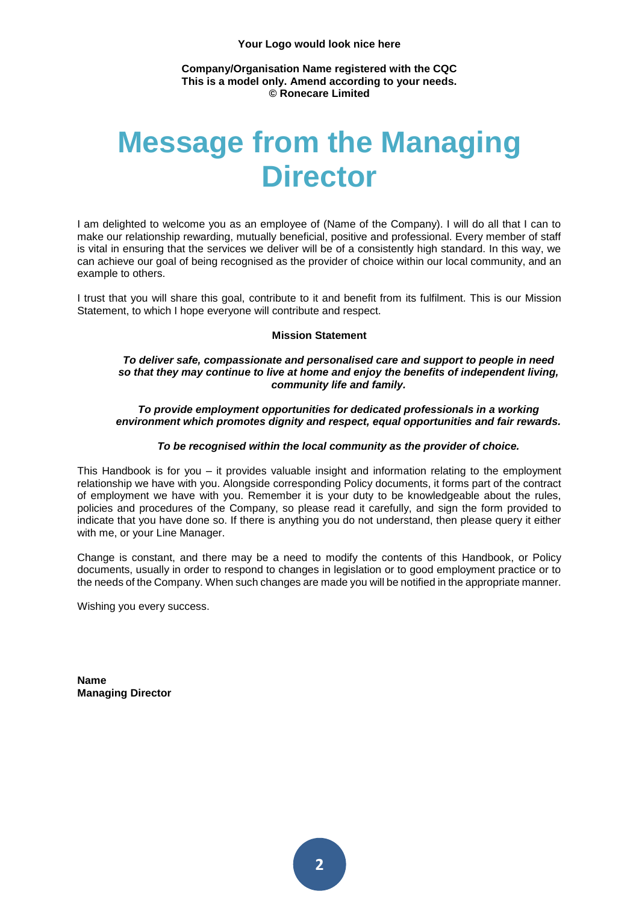#### **Company/Organisation Name registered with the CQC This is a model only. Amend according to your needs. © Ronecare Limited**

### **Message from the Managing Director**

I am delighted to welcome you as an employee of (Name of the Company). I will do all that I can to make our relationship rewarding, mutually beneficial, positive and professional. Every member of staff is vital in ensuring that the services we deliver will be of a consistently high standard. In this way, we can achieve our goal of being recognised as the provider of choice within our local community, and an example to others.

I trust that you will share this goal, contribute to it and benefit from its fulfilment. This is our Mission Statement, to which I hope everyone will contribute and respect.

#### **Mission Statement**

#### *To deliver safe, compassionate and personalised care and support to people in need so that they may continue to live at home and enjoy the benefits of independent living, community life and family.*

*To provide employment opportunities for dedicated professionals in a working environment which promotes dignity and respect, equal opportunities and fair rewards.*

#### *To be recognised within the local community as the provider of choice.*

This Handbook is for you – it provides valuable insight and information relating to the employment relationship we have with you. Alongside corresponding Policy documents, it forms part of the contract of employment we have with you. Remember it is your duty to be knowledgeable about the rules, policies and procedures of the Company, so please read it carefully, and sign the form provided to indicate that you have done so. If there is anything you do not understand, then please query it either with me, or your Line Manager.

Change is constant, and there may be a need to modify the contents of this Handbook, or Policy documents, usually in order to respond to changes in legislation or to good employment practice or to the needs of the Company. When such changes are made you will be notified in the appropriate manner.

Wishing you every success.

**Name Managing Director**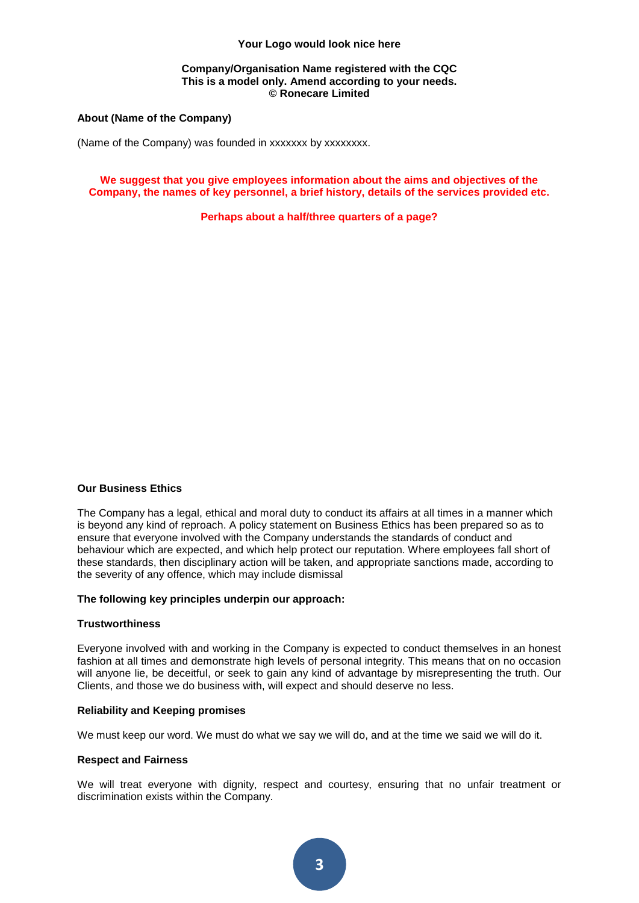#### **Company/Organisation Name registered with the CQC This is a model only. Amend according to your needs. © Ronecare Limited**

#### **About (Name of the Company)**

(Name of the Company) was founded in xxxxxxx by xxxxxxxx.

#### **We suggest that you give employees information about the aims and objectives of the Company, the names of key personnel, a brief history, details of the services provided etc.**

**Perhaps about a half/three quarters of a page?**

#### **Our Business Ethics**

The Company has a legal, ethical and moral duty to conduct its affairs at all times in a manner which is beyond any kind of reproach. A policy statement on Business Ethics has been prepared so as to ensure that everyone involved with the Company understands the standards of conduct and behaviour which are expected, and which help protect our reputation. Where employees fall short of these standards, then disciplinary action will be taken, and appropriate sanctions made, according to the severity of any offence, which may include dismissal

#### **The following key principles underpin our approach:**

#### **Trustworthiness**

Everyone involved with and working in the Company is expected to conduct themselves in an honest fashion at all times and demonstrate high levels of personal integrity. This means that on no occasion will anyone lie, be deceitful, or seek to gain any kind of advantage by misrepresenting the truth. Our Clients, and those we do business with, will expect and should deserve no less.

#### **Reliability and Keeping promises**

We must keep our word. We must do what we say we will do, and at the time we said we will do it.

#### **Respect and Fairness**

We will treat everyone with dignity, respect and courtesy, ensuring that no unfair treatment or discrimination exists within the Company.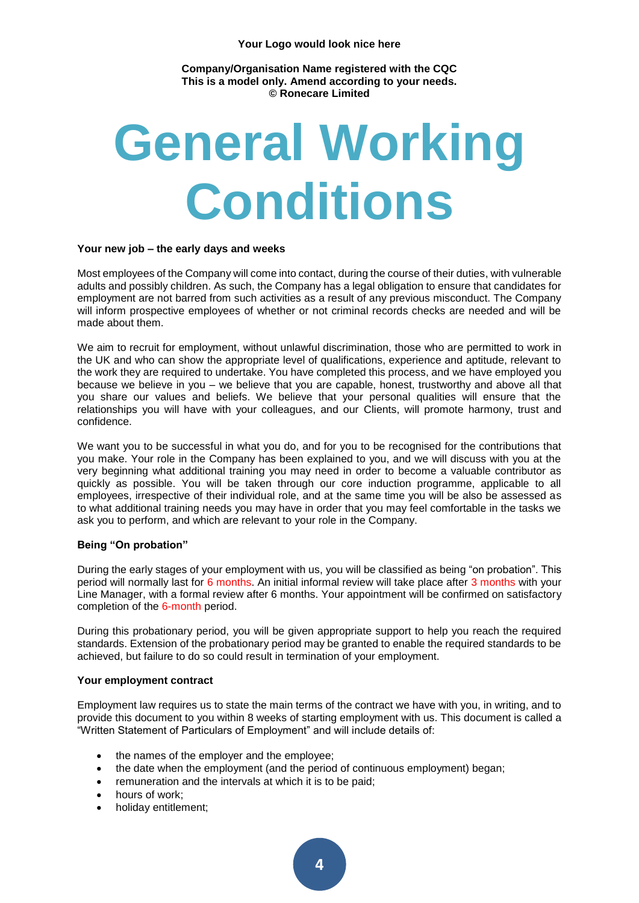**Company/Organisation Name registered with the CQC This is a model only. Amend according to your needs. © Ronecare Limited** 

# **General Working Conditions**

#### **Your new job – the early days and weeks**

Most employees of the Company will come into contact, during the course of their duties, with vulnerable adults and possibly children. As such, the Company has a legal obligation to ensure that candidates for employment are not barred from such activities as a result of any previous misconduct. The Company will inform prospective employees of whether or not criminal records checks are needed and will be made about them.

We aim to recruit for employment, without unlawful discrimination, those who are permitted to work in the UK and who can show the appropriate level of qualifications, experience and aptitude, relevant to the work they are required to undertake. You have completed this process, and we have employed you because we believe in you – we believe that you are capable, honest, trustworthy and above all that you share our values and beliefs. We believe that your personal qualities will ensure that the relationships you will have with your colleagues, and our Clients, will promote harmony, trust and confidence.

We want you to be successful in what you do, and for you to be recognised for the contributions that you make. Your role in the Company has been explained to you, and we will discuss with you at the very beginning what additional training you may need in order to become a valuable contributor as quickly as possible. You will be taken through our core induction programme, applicable to all employees, irrespective of their individual role, and at the same time you will be also be assessed as to what additional training needs you may have in order that you may feel comfortable in the tasks we ask you to perform, and which are relevant to your role in the Company.

#### **Being "On probation"**

During the early stages of your employment with us, you will be classified as being "on probation". This period will normally last for 6 months. An initial informal review will take place after 3 months with your Line Manager, with a formal review after 6 months. Your appointment will be confirmed on satisfactory completion of the 6-month period.

During this probationary period, you will be given appropriate support to help you reach the required standards. Extension of the probationary period may be granted to enable the required standards to be achieved, but failure to do so could result in termination of your employment.

#### **Your employment contract**

Employment law requires us to state the main terms of the contract we have with you, in writing, and to provide this document to you within 8 weeks of starting employment with us. This document is called a "Written Statement of Particulars of Employment" and will include details of:

- the names of the employer and the employee;
- the date when the employment (and the period of continuous employment) began;
- remuneration and the intervals at which it is to be paid;
- hours of work:
- holiday entitlement;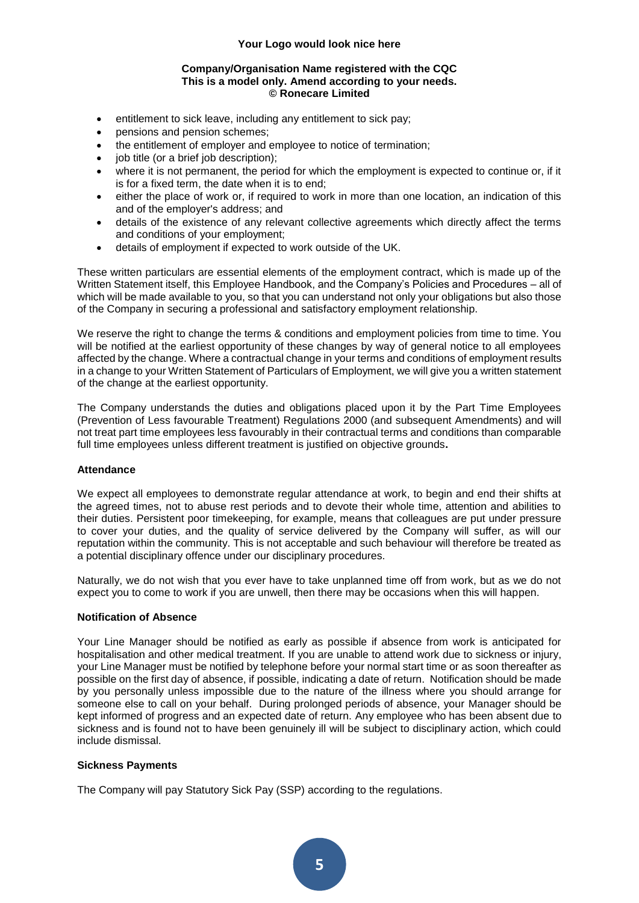#### **Company/Organisation Name registered with the CQC This is a model only. Amend according to your needs. © Ronecare Limited**

- entitlement to sick leave, including any entitlement to sick pay;
- pensions and pension schemes;
- the entitlement of employer and employee to notice of termination;
- job title (or a brief job description);
- where it is not permanent, the period for which the employment is expected to continue or, if it is for a fixed term, the date when it is to end;
- either the place of work or, if required to work in more than one location, an indication of this and of the employer's address; and
- details of the existence of any relevant collective agreements which directly affect the terms and conditions of your employment;
- details of employment if expected to work outside of the UK.

These written particulars are essential elements of the employment contract, which is made up of the Written Statement itself, this Employee Handbook, and the Company's Policies and Procedures – all of which will be made available to you, so that you can understand not only your obligations but also those of the Company in securing a professional and satisfactory employment relationship.

We reserve the right to change the terms & conditions and employment policies from time to time. You will be notified at the earliest opportunity of these changes by way of general notice to all employees affected by the change. Where a contractual change in your terms and conditions of employment results in a change to your Written Statement of Particulars of Employment, we will give you a written statement of the change at the earliest opportunity.

The Company understands the duties and obligations placed upon it by the Part Time Employees (Prevention of Less favourable Treatment) Regulations 2000 (and subsequent Amendments) and will not treat part time employees less favourably in their contractual terms and conditions than comparable full time employees unless different treatment is justified on objective grounds**.**

#### **Attendance**

We expect all employees to demonstrate regular attendance at work, to begin and end their shifts at the agreed times, not to abuse rest periods and to devote their whole time, attention and abilities to their duties. Persistent poor timekeeping, for example, means that colleagues are put under pressure to cover your duties, and the quality of service delivered by the Company will suffer, as will our reputation within the community. This is not acceptable and such behaviour will therefore be treated as a potential disciplinary offence under our disciplinary procedures.

Naturally, we do not wish that you ever have to take unplanned time off from work, but as we do not expect you to come to work if you are unwell, then there may be occasions when this will happen.

#### **Notification of Absence**

Your Line Manager should be notified as early as possible if absence from work is anticipated for hospitalisation and other medical treatment. If you are unable to attend work due to sickness or injury, your Line Manager must be notified by telephone before your normal start time or as soon thereafter as possible on the first day of absence, if possible, indicating a date of return. Notification should be made by you personally unless impossible due to the nature of the illness where you should arrange for someone else to call on your behalf. During prolonged periods of absence, your Manager should be kept informed of progress and an expected date of return. Any employee who has been absent due to sickness and is found not to have been genuinely ill will be subject to disciplinary action, which could include dismissal.

#### **Sickness Payments**

The Company will pay Statutory Sick Pay (SSP) according to the regulations.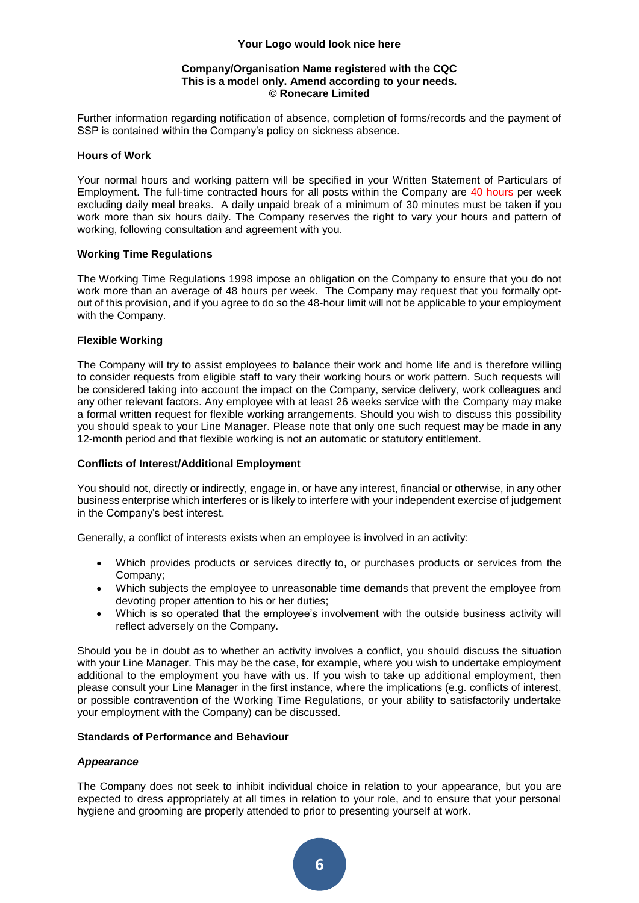#### **Company/Organisation Name registered with the CQC This is a model only. Amend according to your needs. © Ronecare Limited**

Further information regarding notification of absence, completion of forms/records and the payment of SSP is contained within the Company's policy on sickness absence.

#### **Hours of Work**

Your normal hours and working pattern will be specified in your Written Statement of Particulars of Employment. The full-time contracted hours for all posts within the Company are 40 hours per week excluding daily meal breaks. A daily unpaid break of a minimum of 30 minutes must be taken if you work more than six hours daily. The Company reserves the right to vary your hours and pattern of working, following consultation and agreement with you.

#### **Working Time Regulations**

The Working Time Regulations 1998 impose an obligation on the Company to ensure that you do not work more than an average of 48 hours per week. The Company may request that you formally optout of this provision, and if you agree to do so the 48-hour limit will not be applicable to your employment with the Company.

#### **Flexible Working**

The Company will try to assist employees to balance their work and home life and is therefore willing to consider requests from eligible staff to vary their working hours or work pattern. Such requests will be considered taking into account the impact on the Company, service delivery, work colleagues and any other relevant factors. Any employee with at least 26 weeks service with the Company may make a formal written request for flexible working arrangements. Should you wish to discuss this possibility you should speak to your Line Manager. Please note that only one such request may be made in any 12-month period and that flexible working is not an automatic or statutory entitlement.

#### **Conflicts of Interest/Additional Employment**

You should not, directly or indirectly, engage in, or have any interest, financial or otherwise, in any other business enterprise which interferes or is likely to interfere with your independent exercise of judgement in the Company's best interest.

Generally, a conflict of interests exists when an employee is involved in an activity:

- Which provides products or services directly to, or purchases products or services from the Company;
- Which subjects the employee to unreasonable time demands that prevent the employee from devoting proper attention to his or her duties;
- Which is so operated that the employee's involvement with the outside business activity will reflect adversely on the Company.

Should you be in doubt as to whether an activity involves a conflict, you should discuss the situation with your Line Manager. This may be the case, for example, where you wish to undertake employment additional to the employment you have with us. If you wish to take up additional employment, then please consult your Line Manager in the first instance, where the implications (e.g. conflicts of interest, or possible contravention of the Working Time Regulations, or your ability to satisfactorily undertake your employment with the Company) can be discussed.

#### **Standards of Performance and Behaviour**

#### *Appearance*

The Company does not seek to inhibit individual choice in relation to your appearance, but you are expected to dress appropriately at all times in relation to your role, and to ensure that your personal hygiene and grooming are properly attended to prior to presenting yourself at work.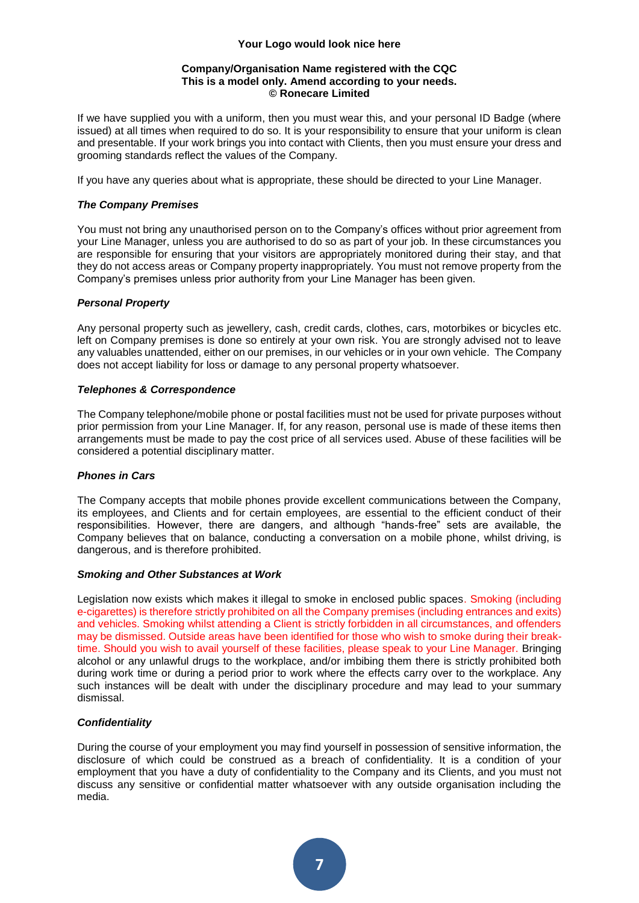#### **Company/Organisation Name registered with the CQC This is a model only. Amend according to your needs. © Ronecare Limited**

If we have supplied you with a uniform, then you must wear this, and your personal ID Badge (where issued) at all times when required to do so. It is your responsibility to ensure that your uniform is clean and presentable. If your work brings you into contact with Clients, then you must ensure your dress and grooming standards reflect the values of the Company.

If you have any queries about what is appropriate, these should be directed to your Line Manager.

#### *The Company Premises*

You must not bring any unauthorised person on to the Company's offices without prior agreement from your Line Manager, unless you are authorised to do so as part of your job. In these circumstances you are responsible for ensuring that your visitors are appropriately monitored during their stay, and that they do not access areas or Company property inappropriately. You must not remove property from the Company's premises unless prior authority from your Line Manager has been given.

#### *Personal Property*

Any personal property such as jewellery, cash, credit cards, clothes, cars, motorbikes or bicycles etc. left on Company premises is done so entirely at your own risk. You are strongly advised not to leave any valuables unattended, either on our premises, in our vehicles or in your own vehicle. The Company does not accept liability for loss or damage to any personal property whatsoever.

#### *Telephones & Correspondence*

The Company telephone/mobile phone or postal facilities must not be used for private purposes without prior permission from your Line Manager. If, for any reason, personal use is made of these items then arrangements must be made to pay the cost price of all services used. Abuse of these facilities will be considered a potential disciplinary matter.

#### *Phones in Cars*

The Company accepts that mobile phones provide excellent communications between the Company, its employees, and Clients and for certain employees, are essential to the efficient conduct of their responsibilities. However, there are dangers, and although "hands-free" sets are available, the Company believes that on balance, conducting a conversation on a mobile phone, whilst driving, is dangerous, and is therefore prohibited.

#### *Smoking and Other Substances at Work*

Legislation now exists which makes it illegal to smoke in enclosed public spaces. Smoking (including e-cigarettes) is therefore strictly prohibited on all the Company premises (including entrances and exits) and vehicles. Smoking whilst attending a Client is strictly forbidden in all circumstances, and offenders may be dismissed. Outside areas have been identified for those who wish to smoke during their breaktime. Should you wish to avail yourself of these facilities, please speak to your Line Manager. Bringing alcohol or any unlawful drugs to the workplace, and/or imbibing them there is strictly prohibited both during work time or during a period prior to work where the effects carry over to the workplace. Any such instances will be dealt with under the disciplinary procedure and may lead to your summary dismissal.

#### *Confidentiality*

During the course of your employment you may find yourself in possession of sensitive information, the disclosure of which could be construed as a breach of confidentiality. It is a condition of your employment that you have a duty of confidentiality to the Company and its Clients, and you must not discuss any sensitive or confidential matter whatsoever with any outside organisation including the media.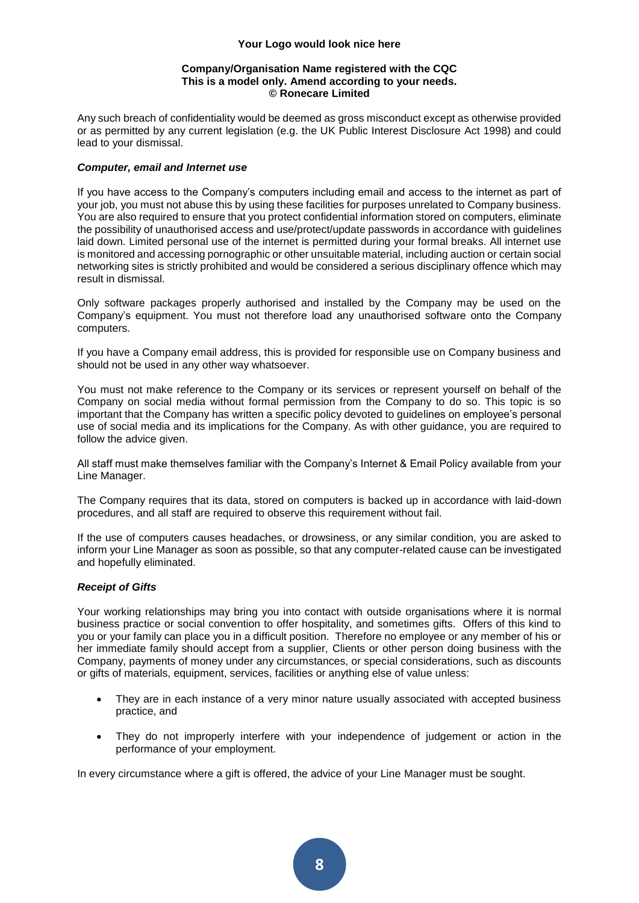#### **Company/Organisation Name registered with the CQC This is a model only. Amend according to your needs. © Ronecare Limited**

Any such breach of confidentiality would be deemed as gross misconduct except as otherwise provided or as permitted by any current legislation (e.g. the UK Public Interest Disclosure Act 1998) and could lead to your dismissal.

#### *Computer, email and Internet use*

If you have access to the Company's computers including email and access to the internet as part of your job, you must not abuse this by using these facilities for purposes unrelated to Company business. You are also required to ensure that you protect confidential information stored on computers, eliminate the possibility of unauthorised access and use/protect/update passwords in accordance with guidelines laid down. Limited personal use of the internet is permitted during your formal breaks. All internet use is monitored and accessing pornographic or other unsuitable material, including auction or certain social networking sites is strictly prohibited and would be considered a serious disciplinary offence which may result in dismissal.

Only software packages properly authorised and installed by the Company may be used on the Company's equipment. You must not therefore load any unauthorised software onto the Company computers.

If you have a Company email address, this is provided for responsible use on Company business and should not be used in any other way whatsoever.

You must not make reference to the Company or its services or represent yourself on behalf of the Company on social media without formal permission from the Company to do so. This topic is so important that the Company has written a specific policy devoted to guidelines on employee's personal use of social media and its implications for the Company. As with other guidance, you are required to follow the advice given.

All staff must make themselves familiar with the Company's Internet & Email Policy available from your Line Manager.

The Company requires that its data, stored on computers is backed up in accordance with laid-down procedures, and all staff are required to observe this requirement without fail.

If the use of computers causes headaches, or drowsiness, or any similar condition, you are asked to inform your Line Manager as soon as possible, so that any computer-related cause can be investigated and hopefully eliminated.

#### *Receipt of Gifts*

Your working relationships may bring you into contact with outside organisations where it is normal business practice or social convention to offer hospitality, and sometimes gifts. Offers of this kind to you or your family can place you in a difficult position. Therefore no employee or any member of his or her immediate family should accept from a supplier, Clients or other person doing business with the Company, payments of money under any circumstances, or special considerations, such as discounts or gifts of materials, equipment, services, facilities or anything else of value unless:

- They are in each instance of a very minor nature usually associated with accepted business practice, and
- They do not improperly interfere with your independence of judgement or action in the performance of your employment.

In every circumstance where a gift is offered, the advice of your Line Manager must be sought.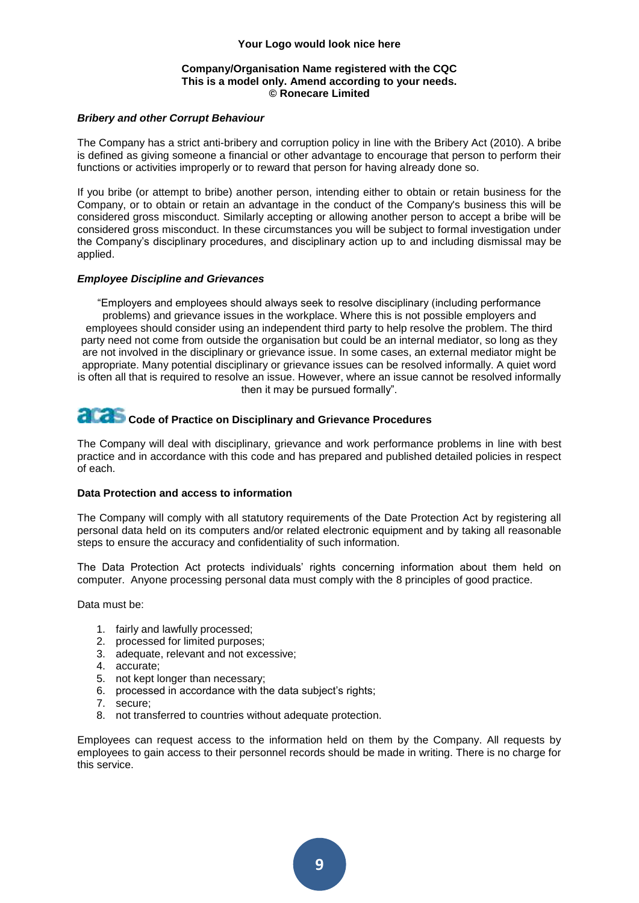#### **Company/Organisation Name registered with the CQC This is a model only. Amend according to your needs. © Ronecare Limited**

#### *Bribery and other Corrupt Behaviour*

The Company has a strict anti-bribery and corruption policy in line with the Bribery Act (2010). A bribe is defined as giving someone a financial or other advantage to encourage that person to perform their functions or activities improperly or to reward that person for having already done so.

If you bribe (or attempt to bribe) another person, intending either to obtain or retain business for the Company, or to obtain or retain an advantage in the conduct of the Company's business this will be considered gross misconduct. Similarly accepting or allowing another person to accept a bribe will be considered gross misconduct. In these circumstances you will be subject to formal investigation under the Company's disciplinary procedures, and disciplinary action up to and including dismissal may be applied.

#### *Employee Discipline and Grievances*

"Employers and employees should always seek to resolve disciplinary (including performance problems) and grievance issues in the workplace. Where this is not possible employers and employees should consider using an independent third party to help resolve the problem. The third party need not come from outside the organisation but could be an internal mediator, so long as they are not involved in the disciplinary or grievance issue. In some cases, an external mediator might be appropriate. Many potential disciplinary or grievance issues can be resolved informally. A quiet word is often all that is required to resolve an issue. However, where an issue cannot be resolved informally then it may be pursued formally".

### **Code of Practice on Disciplinary and Grievance Procedures**

The Company will deal with disciplinary, grievance and work performance problems in line with best practice and in accordance with this code and has prepared and published detailed policies in respect of each.

#### **Data Protection and access to information**

The Company will comply with all statutory requirements of the Date Protection Act by registering all personal data held on its computers and/or related electronic equipment and by taking all reasonable steps to ensure the accuracy and confidentiality of such information.

The Data Protection Act protects individuals' rights concerning information about them held on computer. Anyone processing personal data must comply with the 8 principles of good practice.

Data must be:

- 1. fairly and lawfully processed;
- 2. processed for limited purposes;
- 3. adequate, relevant and not excessive;
- 4. accurate;
- 5. not kept longer than necessary;
- 6. processed in accordance with the data subject's rights;
- 7. secure;
- 8. not transferred to countries without adequate protection.

Employees can request access to the information held on them by the Company. All requests by employees to gain access to their personnel records should be made in writing. There is no charge for this service.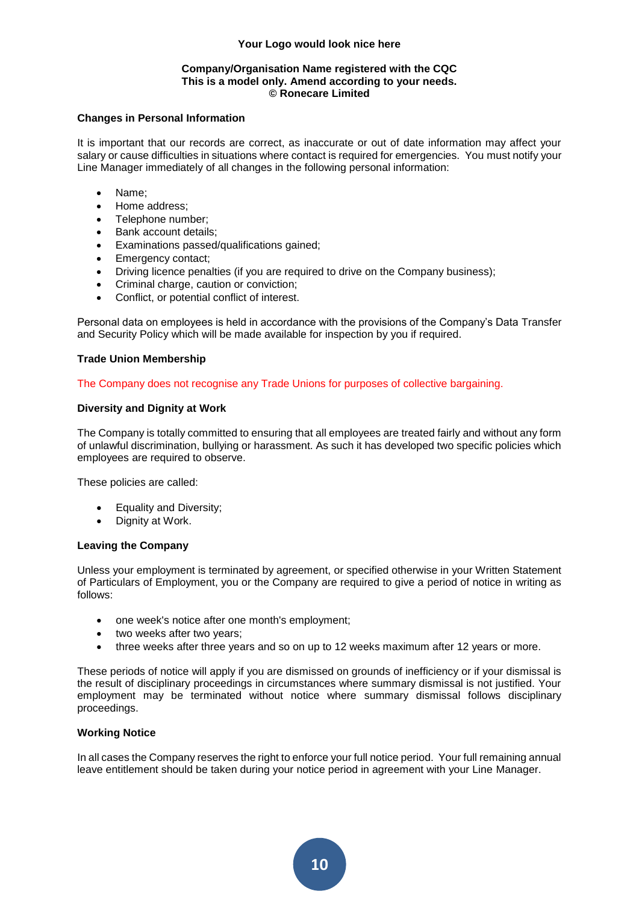#### **Company/Organisation Name registered with the CQC This is a model only. Amend according to your needs. © Ronecare Limited**

#### **Changes in Personal Information**

It is important that our records are correct, as inaccurate or out of date information may affect your salary or cause difficulties in situations where contact is required for emergencies. You must notify your Line Manager immediately of all changes in the following personal information:

- Name;
- Home address;
- Telephone number:
- Bank account details:
- Examinations passed/qualifications gained;
- Emergency contact;
- Driving licence penalties (if you are required to drive on the Company business);
- Criminal charge, caution or conviction;
- Conflict, or potential conflict of interest.

Personal data on employees is held in accordance with the provisions of the Company's Data Transfer and Security Policy which will be made available for inspection by you if required.

#### **Trade Union Membership**

The Company does not recognise any Trade Unions for purposes of collective bargaining.

#### **Diversity and Dignity at Work**

The Company is totally committed to ensuring that all employees are treated fairly and without any form of unlawful discrimination, bullying or harassment. As such it has developed two specific policies which employees are required to observe.

These policies are called:

- Equality and Diversity;
- Dignity at Work.

#### **Leaving the Company**

Unless your employment is terminated by agreement, or specified otherwise in your Written Statement of Particulars of Employment, you or the Company are required to give a period of notice in writing as follows:

- one week's notice after one month's employment;
- two weeks after two vears:
- three weeks after three years and so on up to 12 weeks maximum after 12 years or more.

These periods of notice will apply if you are dismissed on grounds of inefficiency or if your dismissal is the result of disciplinary proceedings in circumstances where summary dismissal is not justified. Your employment may be terminated without notice where summary dismissal follows disciplinary proceedings.

#### **Working Notice**

In all cases the Company reserves the right to enforce your full notice period. Your full remaining annual leave entitlement should be taken during your notice period in agreement with your Line Manager.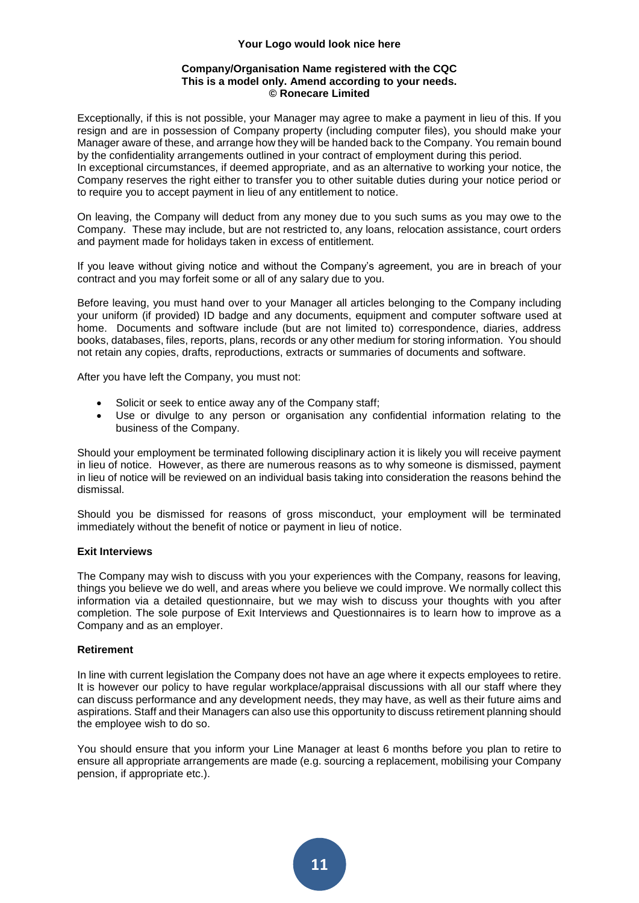#### **Company/Organisation Name registered with the CQC This is a model only. Amend according to your needs. © Ronecare Limited**

Exceptionally, if this is not possible, your Manager may agree to make a payment in lieu of this. If you resign and are in possession of Company property (including computer files), you should make your Manager aware of these, and arrange how they will be handed back to the Company. You remain bound by the confidentiality arrangements outlined in your contract of employment during this period. In exceptional circumstances, if deemed appropriate, and as an alternative to working your notice, the

Company reserves the right either to transfer you to other suitable duties during your notice period or to require you to accept payment in lieu of any entitlement to notice.

On leaving, the Company will deduct from any money due to you such sums as you may owe to the Company. These may include, but are not restricted to, any loans, relocation assistance, court orders and payment made for holidays taken in excess of entitlement.

If you leave without giving notice and without the Company's agreement, you are in breach of your contract and you may forfeit some or all of any salary due to you.

Before leaving, you must hand over to your Manager all articles belonging to the Company including your uniform (if provided) ID badge and any documents, equipment and computer software used at home. Documents and software include (but are not limited to) correspondence, diaries, address books, databases, files, reports, plans, records or any other medium for storing information. You should not retain any copies, drafts, reproductions, extracts or summaries of documents and software.

After you have left the Company, you must not:

- Solicit or seek to entice away any of the Company staff;
- Use or divulge to any person or organisation any confidential information relating to the business of the Company.

Should your employment be terminated following disciplinary action it is likely you will receive payment in lieu of notice. However, as there are numerous reasons as to why someone is dismissed, payment in lieu of notice will be reviewed on an individual basis taking into consideration the reasons behind the dismissal.

Should you be dismissed for reasons of gross misconduct, your employment will be terminated immediately without the benefit of notice or payment in lieu of notice.

#### **Exit Interviews**

The Company may wish to discuss with you your experiences with the Company, reasons for leaving, things you believe we do well, and areas where you believe we could improve. We normally collect this information via a detailed questionnaire, but we may wish to discuss your thoughts with you after completion. The sole purpose of Exit Interviews and Questionnaires is to learn how to improve as a Company and as an employer.

#### **Retirement**

In line with current legislation the Company does not have an age where it expects employees to retire. It is however our policy to have regular workplace/appraisal discussions with all our staff where they can discuss performance and any development needs, they may have, as well as their future aims and aspirations. Staff and their Managers can also use this opportunity to discuss retirement planning should the employee wish to do so.

You should ensure that you inform your Line Manager at least 6 months before you plan to retire to ensure all appropriate arrangements are made (e.g. sourcing a replacement, mobilising your Company pension, if appropriate etc.).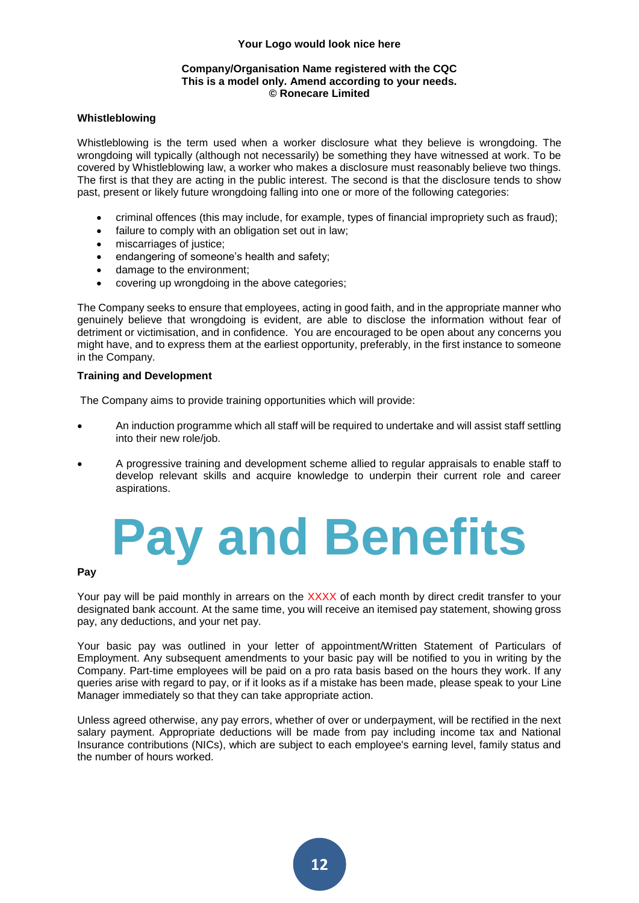#### **Company/Organisation Name registered with the CQC This is a model only. Amend according to your needs. © Ronecare Limited**

#### **Whistleblowing**

Whistleblowing is the term used when a worker disclosure what they believe is wrongdoing. The wrongdoing will typically (although not necessarily) be something they have witnessed at work. To be covered by Whistleblowing law, a worker who makes a disclosure must reasonably believe two things. The first is that they are acting in the public interest. The second is that the disclosure tends to show past, present or likely future wrongdoing falling into one or more of the following categories:

- criminal offences (this may include, for example, types of financial impropriety such as fraud);
- failure to comply with an obligation set out in law;
- miscarriages of justice;
- endangering of someone's health and safety;
- damage to the environment;
- covering up wrongdoing in the above categories;

The Company seeks to ensure that employees, acting in good faith, and in the appropriate manner who genuinely believe that wrongdoing is evident, are able to disclose the information without fear of detriment or victimisation, and in confidence. You are encouraged to be open about any concerns you might have, and to express them at the earliest opportunity, preferably, in the first instance to someone in the Company.

#### **Training and Development**

The Company aims to provide training opportunities which will provide:

- An induction programme which all staff will be required to undertake and will assist staff settling into their new role/job.
- A progressive training and development scheme allied to regular appraisals to enable staff to develop relevant skills and acquire knowledge to underpin their current role and career aspirations.

### **Pay and Benefits**

#### **Pay**

Your pay will be paid monthly in arrears on the XXXX of each month by direct credit transfer to your designated bank account. At the same time, you will receive an itemised pay statement, showing gross pay, any deductions, and your net pay.

Your basic pay was outlined in your letter of appointment/Written Statement of Particulars of Employment. Any subsequent amendments to your basic pay will be notified to you in writing by the Company. Part-time employees will be paid on a pro rata basis based on the hours they work. If any queries arise with regard to pay, or if it looks as if a mistake has been made, please speak to your Line Manager immediately so that they can take appropriate action.

Unless agreed otherwise, any pay errors, whether of over or underpayment, will be rectified in the next salary payment. Appropriate deductions will be made from pay including income tax and National Insurance contributions (NICs), which are subject to each employee's earning level, family status and the number of hours worked.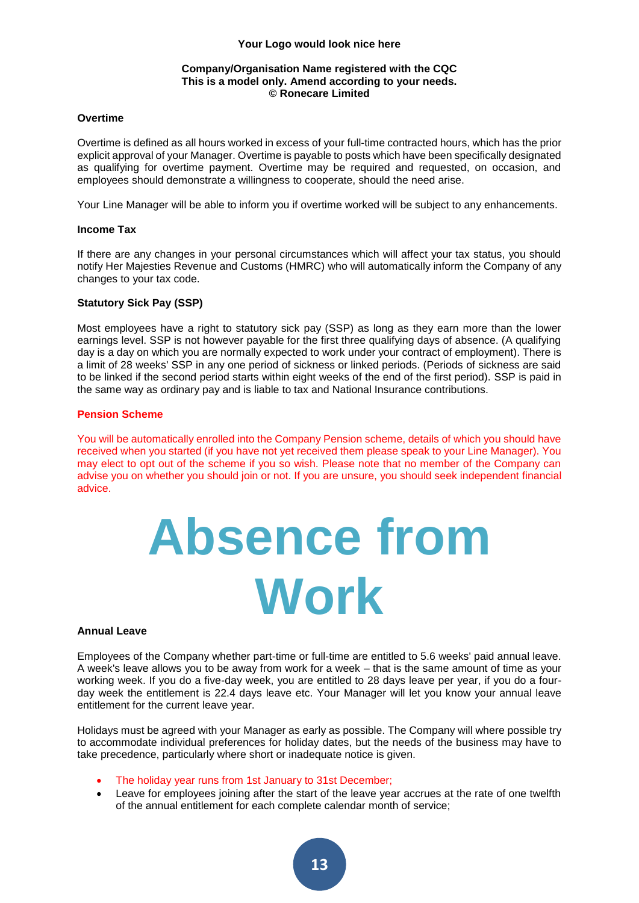#### **Company/Organisation Name registered with the CQC This is a model only. Amend according to your needs. © Ronecare Limited**

#### **Overtime**

Overtime is defined as all hours worked in excess of your full-time contracted hours, which has the prior explicit approval of your Manager. Overtime is payable to posts which have been specifically designated as qualifying for overtime payment. Overtime may be required and requested, on occasion, and employees should demonstrate a willingness to cooperate, should the need arise.

Your Line Manager will be able to inform you if overtime worked will be subject to any enhancements.

#### **Income Tax**

If there are any changes in your personal circumstances which will affect your tax status, you should notify Her Majesties Revenue and Customs (HMRC) who will automatically inform the Company of any changes to your tax code.

#### **Statutory Sick Pay (SSP)**

Most employees have a right to statutory sick pay (SSP) as long as they earn more than the lower earnings level. SSP is not however payable for the first three qualifying days of absence. (A qualifying day is a day on which you are normally expected to work under your contract of employment). There is a limit of 28 weeks' SSP in any one period of sickness or linked periods. (Periods of sickness are said to be linked if the second period starts within eight weeks of the end of the first period). SSP is paid in the same way as ordinary pay and is liable to tax and National Insurance contributions.

#### **Pension Scheme**

You will be automatically enrolled into the Company Pension scheme, details of which you should have received when you started (if you have not yet received them please speak to your Line Manager). You may elect to opt out of the scheme if you so wish. Please note that no member of the Company can advise you on whether you should join or not. If you are unsure, you should seek independent financial advice.

### **Absence from Work**

#### **Annual Leave**

Employees of the Company whether part-time or full-time are entitled to 5.6 weeks' paid annual leave. A week's leave allows you to be away from work for a week – that is the same amount of time as your working week. If you do a five-day week, you are entitled to 28 days leave per year, if you do a fourday week the entitlement is 22.4 days leave etc. Your Manager will let you know your annual leave entitlement for the current leave year.

Holidays must be agreed with your Manager as early as possible. The Company will where possible try to accommodate individual preferences for holiday dates, but the needs of the business may have to take precedence, particularly where short or inadequate notice is given.

- The holiday year runs from 1st January to 31st December;
- Leave for employees joining after the start of the leave year accrues at the rate of one twelfth of the annual entitlement for each complete calendar month of service;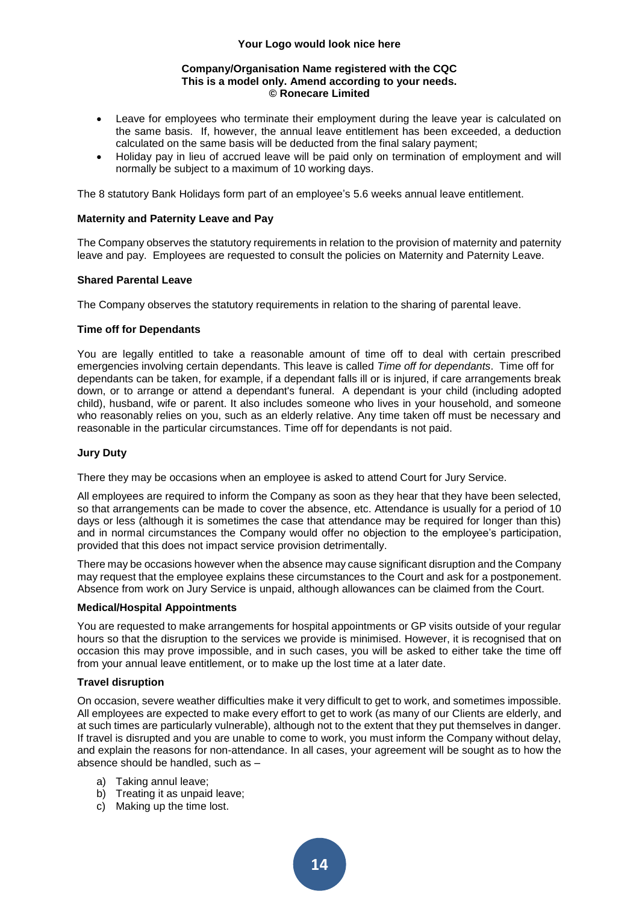#### **Company/Organisation Name registered with the CQC This is a model only. Amend according to your needs. © Ronecare Limited**

- Leave for employees who terminate their employment during the leave year is calculated on the same basis. If, however, the annual leave entitlement has been exceeded, a deduction calculated on the same basis will be deducted from the final salary payment;
- Holiday pay in lieu of accrued leave will be paid only on termination of employment and will normally be subject to a maximum of 10 working days.

The 8 statutory Bank Holidays form part of an employee's 5.6 weeks annual leave entitlement.

#### **Maternity and Paternity Leave and Pay**

The Company observes the statutory requirements in relation to the provision of maternity and paternity leave and pay. Employees are requested to consult the policies on Maternity and Paternity Leave.

#### **Shared Parental Leave**

The Company observes the statutory requirements in relation to the sharing of parental leave.

#### **Time off for Dependants**

You are legally entitled to take a reasonable amount of time off to deal with certain prescribed emergencies involving certain dependants. This leave is called *Time off for dependants*. Time off for dependants can be taken, for example, if a dependant falls ill or is injured, if care arrangements break down, or to arrange or attend a dependant's funeral. A dependant is your child (including adopted child), husband, wife or parent. It also includes someone who lives in your household, and someone who reasonably relies on you, such as an elderly relative. Any time taken off must be necessary and reasonable in the particular circumstances. Time off for dependants is not paid.

#### **Jury Duty**

There they may be occasions when an employee is asked to attend Court for Jury Service.

All employees are required to inform the Company as soon as they hear that they have been selected, so that arrangements can be made to cover the absence, etc. Attendance is usually for a period of 10 days or less (although it is sometimes the case that attendance may be required for longer than this) and in normal circumstances the Company would offer no objection to the employee's participation, provided that this does not impact service provision detrimentally.

There may be occasions however when the absence may cause significant disruption and the Company may request that the employee explains these circumstances to the Court and ask for a postponement. Absence from work on Jury Service is unpaid, although allowances can be claimed from the Court.

#### **Medical/Hospital Appointments**

You are requested to make arrangements for hospital appointments or GP visits outside of your regular hours so that the disruption to the services we provide is minimised. However, it is recognised that on occasion this may prove impossible, and in such cases, you will be asked to either take the time off from your annual leave entitlement, or to make up the lost time at a later date.

#### **Travel disruption**

On occasion, severe weather difficulties make it very difficult to get to work, and sometimes impossible. All employees are expected to make every effort to get to work (as many of our Clients are elderly, and at such times are particularly vulnerable), although not to the extent that they put themselves in danger. If travel is disrupted and you are unable to come to work, you must inform the Company without delay, and explain the reasons for non-attendance. In all cases, your agreement will be sought as to how the absence should be handled, such as –

- a) Taking annul leave;
- b) Treating it as unpaid leave:
- c) Making up the time lost.